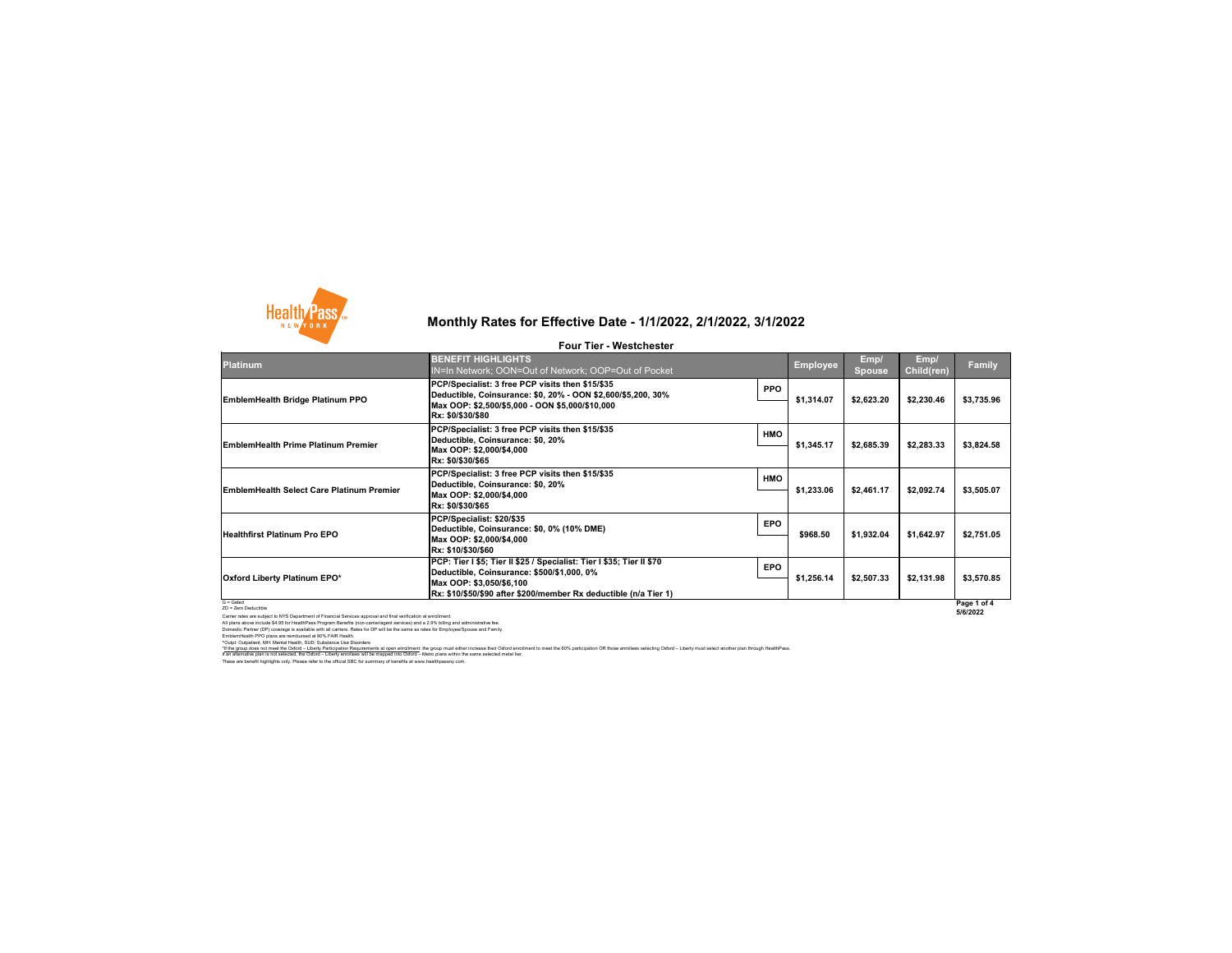

### **Platinum**

### G = Gated ZD = Zero Deductible

Carrier rates are subject to NYS Department of Financial Services approval and final verification at enrollment. All plans above include \$4.95 for HealthPass Program Benefits (non-carrier/agent services) and a 2.9% billing and administrative fee. Domestic Partner (DP) coverage is available with all carriers. Rates for DP will be the same as rates for Employee/Spouse and Family. EmblemHealth PPO plans are reimbursed at 80% FAIR Health. ^Outpt: Outpatient, MH: Mental Health, SUD: Substance Use Disorders

**EmblemHealth Bridge Platinum PPO**

**EmblemHealth Prime Platinum Premier** 

**Healthfirst Platinum Pro EPO**

**EmblemHealth Select Care Platinum Premier** 

| <b>BENEFIT HIGHLIGHTS</b><br><b>IN=In Network; OON=Out of Network; OOP=Out of Pocket</b>                                                                                                                                     |            | <b>Employee</b> | Emp/<br>Spouse | Emp/<br>Child(ren) | <b>Family</b> |
|------------------------------------------------------------------------------------------------------------------------------------------------------------------------------------------------------------------------------|------------|-----------------|----------------|--------------------|---------------|
| PCP/Specialist: 3 free PCP visits then \$15/\$35<br>Deductible, Coinsurance: \$0, 20% - OON \$2,600/\$5,200, 30%<br>Max OOP: \$2,500/\$5,000 - OON \$5,000/\$10,000<br> Rx: \$0/\$30/\$80                                    | <b>PPO</b> | \$1,314.07      | \$2,623.20     | \$2,230.46         | \$3,735.96    |
| PCP/Specialist: 3 free PCP visits then \$15/\$35<br>Deductible, Coinsurance: \$0, 20%<br>Max OOP: \$2,000/\$4,000<br> Rx: \$0/\$30/\$65                                                                                      | <b>HMO</b> | \$1,345.17      | \$2,685.39     | \$2,283.33         | \$3,824.58    |
| PCP/Specialist: 3 free PCP visits then \$15/\$35<br>Deductible, Coinsurance: \$0, 20%<br>Max OOP: \$2,000/\$4,000<br> Rx: \$0/\$30/\$65                                                                                      | <b>HMO</b> | \$1,233.06      | \$2,461.17     | \$2,092.74         | \$3,505.07    |
| PCP/Specialist: \$20/\$35 <br>Deductible, Coinsurance: \$0, 0% (10% DME)<br>Max OOP: \$2,000/\$4,000<br> Rx: \$10/\$30/\$60                                                                                                  | <b>EPO</b> | \$968.50        | \$1,932.04     | \$1,642.97         | \$2,751.05    |
| <b>PCP: Tier I \$5; Tier II \$25 / Specialist: Tier I \$35; Tier II \$70</b><br> Deductible, Coinsurance: \$500/\$1,000, 0%<br>Max OOP: \$3,050/\$6,100<br> Rx: \$10/\$50/\$90 after \$200/member Rx deductible (n/a Tier 1) | <b>EPO</b> | \$1,256.14      | \$2,507.33     | \$2,131.98         | \$3,570.85    |
|                                                                                                                                                                                                                              |            |                 |                |                    | Page 1 of 4   |

These are benefit highlights only. Please refer to the official SBC for summary of benefits at www.healthpassny.com. \*If the group does not meet the Oxford - Liberty Participation Requirements at open enrollment: the group must either increase their Oxford enrollment to meet the 60% participation OR those enrollees selecting Oxford - Lib If an alternative plan is not selected, the Oxford – Liberty enrollees will be mapped into Oxford – Metro plans within the same selected metal tier.

### **Oxford Liberty Platinum EPO\***

# **Monthly Rates for Effective Date - 1/1/2022, 2/1/2022, 3/1/2022**

**Four Tier - Westchester**

**5/6/2022**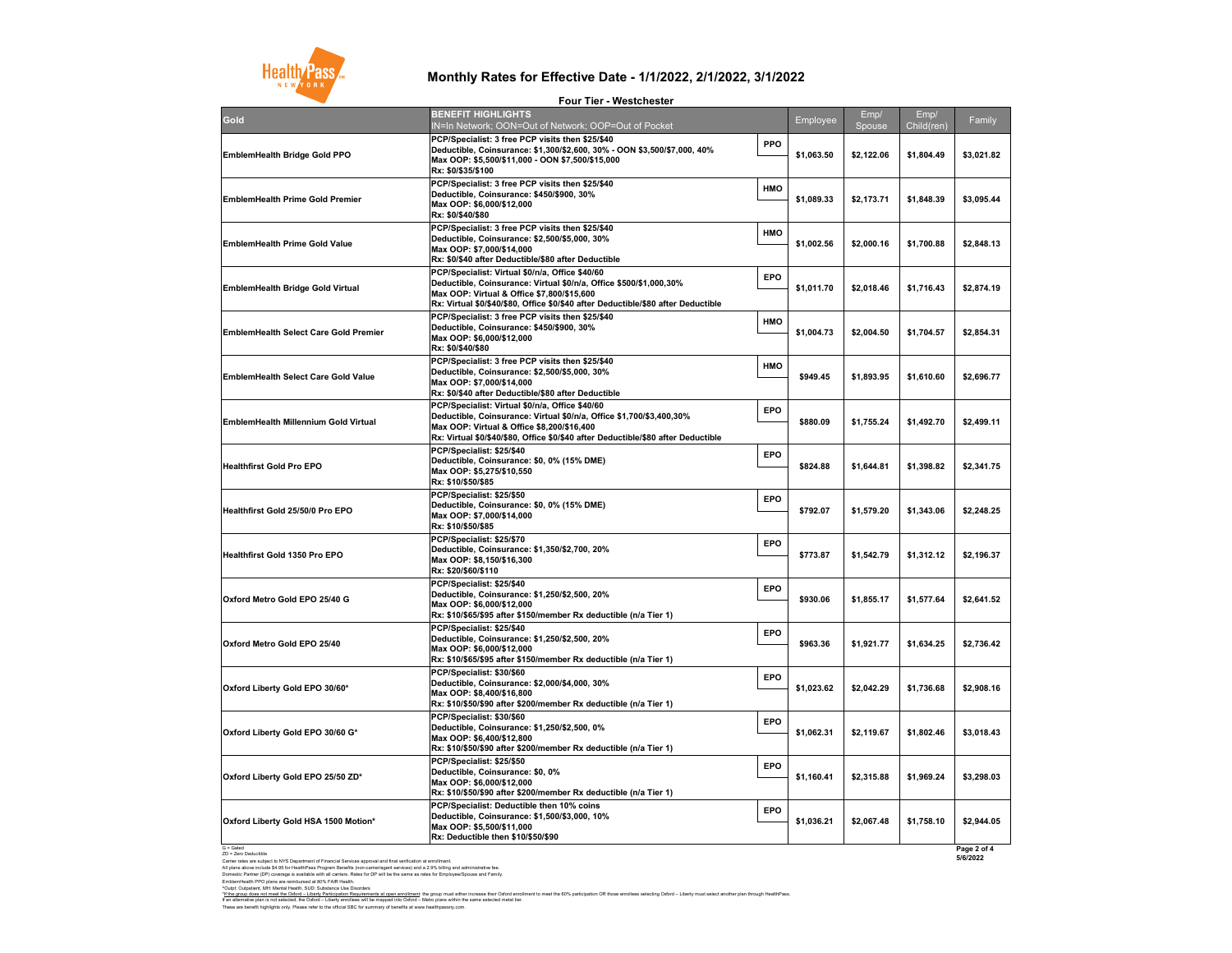G = Gated ZD = Zero Deductible

^Outpt: Outpatient, MH: Mental Health, SUD: Substance Use Disorders These are benefit highlights only. Please refer to the official SBC for summary of benefits at www.healthpassny.com. \*If the group does not meet the Oxford - Liberty Participation Requirements at open enrollment: the group must either increase their Oxford enrollment to meet the 60% participation OR those enrollees selecting Oxford - Lib If an alternative plan is not selected, the Oxford – Liberty enrollees will be mapped into Oxford – Metro plans within the same selected metal tier.

Carrier rates are subject to NYS Department of Financial Services approval and final verification at enrollment. All plans above include \$4.95 for HealthPass Program Benefits (non-carrier/agent services) and a 2.9% billing and administrative fee. Domestic Partner (DP) coverage is available with all carriers. Rates for DP will be the same as rates for Employee/Spouse and Family. EmblemHealth PPO plans are reimbursed at 80% FAIR Health.



|                                              | LONI IIAI - MASSICIIASIAI                                                                                                                                                                                                                                     |                          |                |                    |                       |
|----------------------------------------------|---------------------------------------------------------------------------------------------------------------------------------------------------------------------------------------------------------------------------------------------------------------|--------------------------|----------------|--------------------|-----------------------|
| Gold                                         | <b>BENEFIT HIGHLIGHTS</b><br>N=In Network; OON=Out of Network; OOP=Out of Pocket                                                                                                                                                                              | Employee                 | Emp/<br>Spouse | Emp/<br>Child(ren) | Family                |
| <b>EmblemHealth Bridge Gold PPO</b>          | PCP/Specialist: 3 free PCP visits then \$25/\$40<br>Deductible, Coinsurance: \$1,300/\$2,600, 30% - OON \$3,500/\$7,000, 40%<br>Max OOP: \$5,500/\$11,000 - OON \$7,500/\$15,000<br>Rx: \$0/\$35/\$100                                                        | <b>PPO</b><br>\$1,063.50 | \$2,122.06     | \$1,804.49         | \$3,021.82            |
| <b>EmblemHealth Prime Gold Premier</b>       | PCP/Specialist: 3 free PCP visits then \$25/\$40<br>Deductible, Coinsurance: \$450/\$900, 30%<br>Max OOP: \$6,000/\$12,000<br>Rx: \$0/\$40/\$80                                                                                                               | <b>HMO</b><br>\$1,089.33 | \$2,173.71     | \$1,848.39         | \$3,095.44            |
| <b>EmblemHealth Prime Gold Value</b>         | PCP/Specialist: 3 free PCP visits then \$25/\$40<br>Deductible, Coinsurance: \$2,500/\$5,000, 30%<br>Max OOP: \$7,000/\$14,000<br>Rx: \$0/\$40 after Deductible/\$80 after Deductible                                                                         | <b>HMO</b><br>\$1,002.56 | \$2,000.16     | \$1,700.88         | \$2,848.13            |
| <b>EmblemHealth Bridge Gold Virtual</b>      | PCP/Specialist: Virtual \$0/n/a, Office \$40/60<br>Deductible, Coinsurance: Virtual \$0/n/a, Office \$500/\$1,000,30%<br>Max OOP: Virtual & Office \$7,800/\$15,600<br> Rx: Virtual \$0/\$40/\$80, Office \$0/\$40 after Deductible/\$80 after Deductible_    | <b>EPO</b><br>\$1,011.70 | \$2,018.46     | \$1,716.43         | \$2,874.19            |
| <b>EmblemHealth Select Care Gold Premier</b> | PCP/Specialist: 3 free PCP visits then \$25/\$40<br>Deductible, Coinsurance: \$450/\$900, 30%<br>Max OOP: \$6,000/\$12,000<br> Rx: \$0/\$40/\$80                                                                                                              | <b>HMO</b><br>\$1,004.73 | \$2,004.50     | \$1,704.57         | \$2,854.31            |
| <b>EmblemHealth Select Care Gold Value</b>   | PCP/Specialist: 3 free PCP visits then \$25/\$40<br> Deductible, Coinsurance: \$2,500/\$5,000, 30%<br>Max OOP: \$7,000/\$14,000 <br>Rx: \$0/\$40 after Deductible/\$80 after Deductible                                                                       | <b>HMO</b><br>\$949.45   | \$1,893.95     | \$1,610.60         | \$2,696.77            |
| <b>EmblemHealth Millennium Gold Virtual</b>  | PCP/Specialist: Virtual \$0/n/a, Office \$40/60<br> Deductible, Coinsurance: Virtual \$0/n/a, Office \$1,700/\$3,400,30%<br> Max OOP: Virtual & Office \$8,200/\$16,400<br> Rx: Virtual \$0/\$40/\$80, Office \$0/\$40 after Deductible/\$80 after Deductible | <b>EPO</b><br>\$880.09   | \$1,755.24     | \$1,492.70         | \$2,499.11            |
| <b>Healthfirst Gold Pro EPO</b>              | PCP/Specialist: \$25/\$40<br>Deductible, Coinsurance: \$0, 0% (15% DME)<br>Max OOP: \$5,275/\$10,550<br>Rx: \$10/\$50/\$85                                                                                                                                    | <b>EPO</b><br>\$824.88   | \$1,644.81     | \$1,398.82         | \$2,341.75            |
| <b>Healthfirst Gold 25/50/0 Pro EPO</b>      | PCP/Specialist: \$25/\$50<br>Deductible, Coinsurance: \$0, 0% (15% DME)<br>Max OOP: \$7,000/\$14,000<br>Rx: \$10/\$50/\$85                                                                                                                                    | <b>EPO</b><br>\$792.07   | \$1,579.20     | \$1,343.06         | \$2,248.25            |
| <b>Healthfirst Gold 1350 Pro EPO</b>         | PCP/Specialist: \$25/\$70<br>Deductible, Coinsurance: \$1,350/\$2,700, 20%<br>Max OOP: \$8,150/\$16,300<br>Rx: \$20/\$60/\$110                                                                                                                                | <b>EPO</b><br>\$773.87   | \$1,542.79     | \$1,312.12         | \$2,196.37            |
| Oxford Metro Gold EPO 25/40 G                | PCP/Specialist: \$25/\$40<br>Deductible, Coinsurance: \$1,250/\$2,500, 20%<br>Max OOP: \$6,000/\$12,000<br> Rx: \$10/\$65/\$95 after \$150/member Rx deductible (n/a Tier 1)_                                                                                 | <b>EPO</b><br>\$930.06   | \$1,855.17     | \$1,577.64         | \$2,641.52            |
| Oxford Metro Gold EPO 25/40                  | PCP/Specialist: \$25/\$40<br>Deductible, Coinsurance: \$1,250/\$2,500, 20%<br>Max OOP: \$6,000/\$12,000<br> Rx: \$10/\$65/\$95 after \$150/member Rx deductible (n/a Tier 1)_                                                                                 | <b>EPO</b><br>\$963.36   | \$1,921.77     | \$1,634.25         | \$2,736.42            |
| Oxford Liberty Gold EPO 30/60*               | PCP/Specialist: \$30/\$60<br> Deductible, Coinsurance: \$2,000/\$4,000, 30%<br>Max OOP: \$8,400/\$16,800<br> Rx: \$10/\$50/\$90 after \$200/member Rx deductible (n/a Tier 1)                                                                                 | <b>EPO</b><br>\$1,023.62 | \$2,042.29     | \$1,736.68         | \$2,908.16            |
| Oxford Liberty Gold EPO 30/60 G*             | PCP/Specialist: \$30/\$60<br>Deductible, Coinsurance: \$1,250/\$2,500, 0%<br>Max OOP: \$6,400/\$12,800<br> Rx: \$10/\$50/\$90 after \$200/member Rx deductible (n/a Tier 1)                                                                                   | <b>EPO</b><br>\$1,062.31 | \$2,119.67     | \$1,802.46         | \$3,018.43            |
| Oxford Liberty Gold EPO 25/50 ZD*            | PCP/Specialist: \$25/\$50<br>Deductible, Coinsurance: \$0, 0%<br>Max OOP: \$6,000/\$12,000<br> Rx: \$10/\$50/\$90 after \$200/member Rx deductible (n/a Tier 1)                                                                                               | <b>EPO</b><br>\$1,160.41 | \$2,315.88     | \$1,969.24         | \$3,298.03            |
| Oxford Liberty Gold HSA 1500 Motion*         | <b>PCP/Specialist: Deductible then 10% coins</b><br>Deductible, Coinsurance: \$1,500/\$3,000, 10%<br>Max OOP: \$5,500/\$11,000 M<br>Rx: Deductible then \$10/\$50/\$90                                                                                        | <b>EPO</b><br>\$1,036.21 | \$2,067.48     | \$1,758.10         | \$2,944.05            |
| $G = Gated$                                  |                                                                                                                                                                                                                                                               |                          |                |                    | Dann $2$ of $\Lambda$ |

### **Monthly Rates for Effective Date - 1/1/2022, 2/1/2022, 3/1/2022**

**Four Tier - Westchester**

**Page 2 of 4 5/6/2022**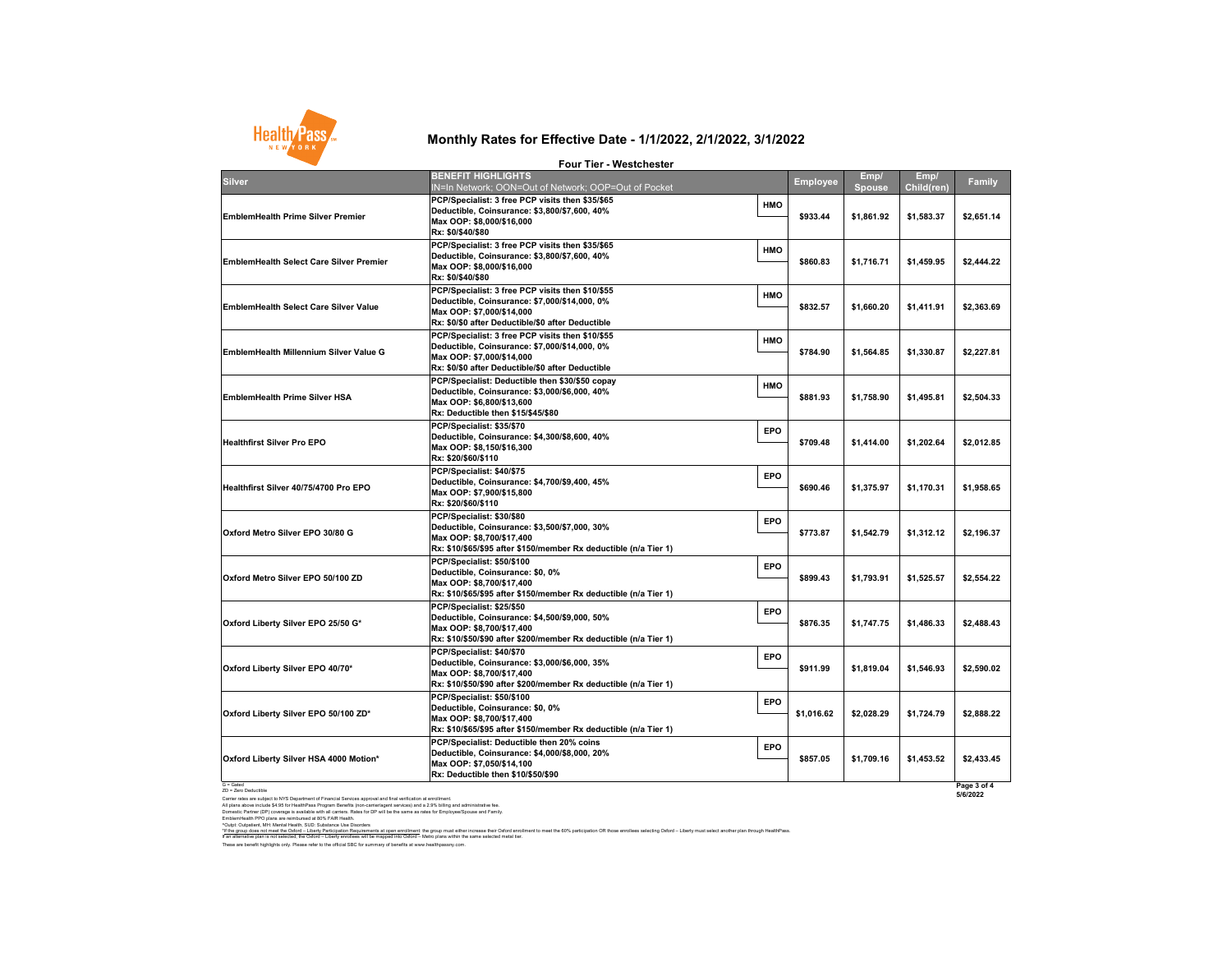G = Gated ZD = Zero Deductible

Carrier rates are subject to NYS Department of Financial Services approval and final verification at enrollment. All plans above include \$4.95 for HealthPass Program Benefits (non-carrier/agent services) and a 2.9% billing and administrative fee. Domestic Partner (DP) coverage is available with all carriers. Rates for DP will be the same as rates for Employee/Spouse and Family. EmblemHealth PPO plans are reimbursed at 80% FAIR Health.

^Outpt: Outpatient, MH: Mental Health, SUD: Substance Use Disorders

## **Monthly Rates for Effective Date - 1/1/2022, 2/1/2022, 3/1/2022**



| <b>Employee</b> | Emp/<br><b>Spouse</b> | Emp/<br>Child(ren) | <b>Family</b>           |
|-----------------|-----------------------|--------------------|-------------------------|
| \$933.44        | \$1,861.92            | \$1,583.37         | \$2,651.14              |
| \$860.83        | \$1,716.71            | \$1,459.95         | \$2,444.22              |
| \$832.57        | \$1,660.20            | \$1,411.91         | \$2,363.69              |
| \$784.90        | \$1,564.85            | \$1,330.87         | \$2,227.81              |
| \$881.93        | \$1,758.90            | \$1,495.81         | \$2,504.33              |
| \$709.48        | \$1,414.00            | \$1,202.64         | \$2,012.85              |
| \$690.46        | \$1,375.97            | \$1,170.31         | \$1,958.65              |
| \$773.87        | \$1,542.79            | \$1,312.12         | \$2,196.37              |
| \$899.43        | \$1,793.91            | \$1,525.57         | \$2,554.22              |
| \$876.35        | \$1,747.75            | \$1,486.33         | \$2,488.43              |
| \$911.99        | \$1,819.04            | \$1,546.93         | \$2,590.02              |
| \$1,016.62      | \$2,028.29            | \$1,724.79         | \$2,888.22              |
| \$857.05        | \$1,709.16            | \$1,453.52         | \$2,433.45              |
|                 |                       |                    | Page 3 of 4<br>5/6/2022 |

|                                                | <b>Four Tier - Westchester</b>                                                                                                                                                                                |            |                 |                           |
|------------------------------------------------|---------------------------------------------------------------------------------------------------------------------------------------------------------------------------------------------------------------|------------|-----------------|---------------------------|
| <b>Silver</b>                                  | <b>BENEFIT HIGHLIGHTS</b>                                                                                                                                                                                     |            | <b>Employee</b> | Emp/                      |
| <b>EmblemHealth Prime Silver Premier</b>       | IN=In Network; OON=Out of Network; OOP=Out of Pocket<br>PCP/Specialist: 3 free PCP visits then \$35/\$65<br>Deductible, Coinsurance: \$3,800/\$7,600, 40%<br>Max OOP: \$8,000/\$16,000<br> Rx: \$0/\$40/\$80  | <b>HMO</b> | \$933.44        | <b>Spous</b><br>\$1,861.9 |
| <b>EmblemHealth Select Care Silver Premier</b> | PCP/Specialist: 3 free PCP visits then \$35/\$65<br>Deductible, Coinsurance: \$3,800/\$7,600, 40%<br>Max OOP: \$8,000/\$16,000<br><b>Rx: \$0/\$40/\$80</b>                                                    | <b>HMO</b> | \$860.83        | \$1,716.7                 |
| <b>EmblemHealth Select Care Silver Value</b>   | PCP/Specialist: 3 free PCP visits then \$10/\$55<br> Deductible, Coinsurance: \$7,000/\$14,000, 0%<br>Max OOP: \$7,000/\$14,000<br> Rx: \$0/\$0 after Deductible/\$0 after Deductible                         | <b>HMO</b> | \$832.57        | \$1,660.2                 |
| <b>EmblemHealth Millennium Silver Value G</b>  | PCP/Specialist: 3 free PCP visits then \$10/\$55<br>Deductible, Coinsurance: \$7,000/\$14,000, 0%<br>Max OOP: \$7,000/\$14,000<br> Rx: \$0/\$0 after Deductible/\$0 after Deductible                          | <b>HMO</b> | \$784.90        | \$1,564.8                 |
| <b>EmblemHealth Prime Silver HSA</b>           | PCP/Specialist: Deductible then \$30/\$50 copay<br> Deductible, Coinsurance: \$3,000/\$6,000, 40%<br>Max OOP: \$6,800/\$13,600<br>Rx: Deductible then \$15/\$45/\$80                                          | <b>HMO</b> | \$881.93        | \$1,758.9                 |
| <b>Healthfirst Silver Pro EPO</b>              | PCP/Specialist: \$35/\$70 <br> Deductible, Coinsurance: \$4,300/\$8,600, 40%<br>Max OOP: \$8,150/\$16,300<br> Rx: \$20/\$60/\$110                                                                             | <b>EPO</b> | \$709.48        | \$1,414.0                 |
| Healthfirst Silver 40/75/4700 Pro EPO          | PCP/Specialist: \$40/\$75<br>Deductible, Coinsurance: \$4,700/\$9,400, 45%<br>Max OOP: \$7,900/\$15,800<br> Rx: \$20/\$60/\$110                                                                               | <b>EPO</b> | \$690.46        | \$1,375.9                 |
| Oxford Metro Silver EPO 30/80 G                | PCP/Specialist: \$30/\$80<br>Deductible, Coinsurance: \$3,500/\$7,000, 30%<br>Max OOP: \$8,700/\$17,400<br> Rx: \$10/\$65/\$95                                  after \$150/member Rx deductible (n/a Tier 1) | <b>EPO</b> | \$773.87        | \$1,542.7                 |
| Oxford Metro Silver EPO 50/100 ZD              | PCP/Specialist: \$50/\$100<br>Deductible, Coinsurance: \$0, 0%<br>Max OOP: \$8,700/\$17,400<br> Rx: \$10/\$65/\$95 after \$150/member Rx deductible (n/a Tier 1)                                              | <b>EPO</b> | \$899.43        | \$1,793.9                 |
| Oxford Liberty Silver EPO 25/50 G*             | PCP/Specialist: \$25/\$50<br>Deductible, Coinsurance: \$4,500/\$9,000, 50%<br>Max OOP: \$8,700/\$17,400<br> Rx: \$10/\$50/\$90 after \$200/member Rx deductible (n/a Tier 1)_                                 | <b>EPO</b> | \$876.35        | \$1,747.7                 |
| Oxford Liberty Silver EPO 40/70*               | PCP/Specialist: \$40/\$70 <br> Deductible, Coinsurance: \$3,000/\$6,000, 35%<br>Max OOP: \$8,700/\$17,400<br> Rx: \$10/\$50/\$90 after \$200/member Rx deductible (n/a Tier 1)                                | <b>EPO</b> | \$911.99        | \$1,819.0                 |
| Oxford Liberty Silver EPO 50/100 ZD*           | PCP/Specialist: \$50/\$100<br>Deductible, Coinsurance: \$0, 0%<br>Max OOP: \$8,700/\$17,400<br> Rx: \$10/\$65/\$95 after \$150/member Rx deductible (n/a Tier 1)_                                             | <b>EPO</b> | \$1,016.62      | \$2,028.2                 |
| Oxford Liberty Silver HSA 4000 Motion*         | <b>PCP/Specialist: Deductible then 20% coins</b><br> Deductible, Coinsurance: \$4,000/\$8,000, 20%<br>Max OOP: \$7,050/\$14,100                                                                               | <b>EPO</b> | \$857.05        | \$1,709.1                 |

These are benefit highlights only. Please refer to the official SBC for summary of benefits at www.healthpassny.com. \*<u>If the group does not meet the Oxford – Liberty Participation Requirements at open enrollment</u>: the group must either increase their Oxford enrollment to meet the 60% participation OR those enrollees selecting Oxford – L If an alternative plan is not selected, the Oxford – Liberty enrollees will be mapped into Oxford – Metro plans within the same selected metal tier.

**Rx: Deductible then \$10/\$50/\$90**